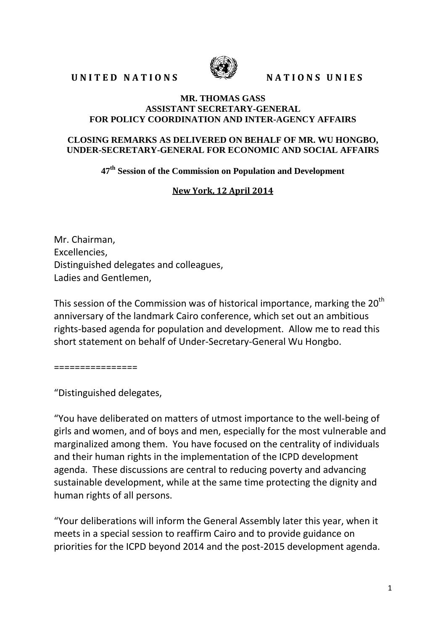# UNITED NATIONS SEE NATIONS UNIES



#### **MR. THOMAS GASS ASSISTANT SECRETARY-GENERAL FOR POLICY COORDINATION AND INTER-AGENCY AFFAIRS**

#### **CLOSING REMARKS AS DELIVERED ON BEHALF OF MR. WU HONGBO, UNDER-SECRETARY-GENERAL FOR ECONOMIC AND SOCIAL AFFAIRS**

## **47th Session of the Commission on Population and Development**

### **New York, 12 April 2014**

Mr. Chairman, Excellencies, Distinguished delegates and colleagues, Ladies and Gentlemen,

This session of the Commission was of historical importance, marking the  $20<sup>th</sup>$ anniversary of the landmark Cairo conference, which set out an ambitious rights-based agenda for population and development. Allow me to read this short statement on behalf of Under-Secretary-General Wu Hongbo.

================

"Distinguished delegates,

"You have deliberated on matters of utmost importance to the well-being of girls and women, and of boys and men, especially for the most vulnerable and marginalized among them. You have focused on the centrality of individuals and their human rights in the implementation of the ICPD development agenda. These discussions are central to reducing poverty and advancing sustainable development, while at the same time protecting the dignity and human rights of all persons.

"Your deliberations will inform the General Assembly later this year, when it meets in a special session to reaffirm Cairo and to provide guidance on priorities for the ICPD beyond 2014 and the post-2015 development agenda.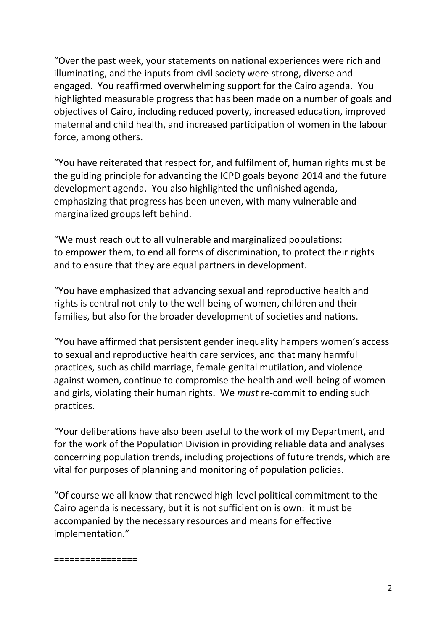"Over the past week, your statements on national experiences were rich and illuminating, and the inputs from civil society were strong, diverse and engaged. You reaffirmed overwhelming support for the Cairo agenda. You highlighted measurable progress that has been made on a number of goals and objectives of Cairo, including reduced poverty, increased education, improved maternal and child health, and increased participation of women in the labour force, among others.

"You have reiterated that respect for, and fulfilment of, human rights must be the guiding principle for advancing the ICPD goals beyond 2014 and the future development agenda. You also highlighted the unfinished agenda, emphasizing that progress has been uneven, with many vulnerable and marginalized groups left behind.

"We must reach out to all vulnerable and marginalized populations: to empower them, to end all forms of discrimination, to protect their rights and to ensure that they are equal partners in development.

"You have emphasized that advancing sexual and reproductive health and rights is central not only to the well-being of women, children and their families, but also for the broader development of societies and nations.

"You have affirmed that persistent gender inequality hampers women's access to sexual and reproductive health care services, and that many harmful practices, such as child marriage, female genital mutilation, and violence against women, continue to compromise the health and well-being of women and girls, violating their human rights. We *must* re-commit to ending such practices.

"Your deliberations have also been useful to the work of my Department, and for the work of the Population Division in providing reliable data and analyses concerning population trends, including projections of future trends, which are vital for purposes of planning and monitoring of population policies.

"Of course we all know that renewed high-level political commitment to the Cairo agenda is necessary, but it is not sufficient on is own: it must be accompanied by the necessary resources and means for effective implementation."

================